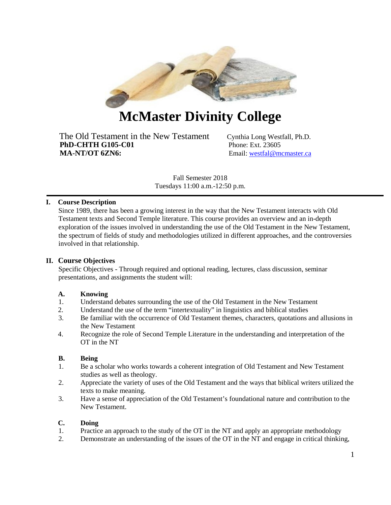

# **McMaster Divinity College**

The Old Testament in the New Testament Cynthia Long Westfall, Ph.D.<br> **PhD-CHTH G105-C01** Phone: Ext. 23605 **PhD-CHTH G105-C01 MA-NT/OT 6ZN6:** Email: [westfal@mcmaster.ca](mailto:westfal@mcmaster.ca)

Fall Semester 2018 Tuesdays 11:00 a.m.-12:50 p.m.

# **I. Course Description**

Since 1989, there has been a growing interest in the way that the New Testament interacts with Old Testament texts and Second Temple literature. This course provides an overview and an in-depth exploration of the issues involved in understanding the use of the Old Testament in the New Testament, the spectrum of fields of study and methodologies utilized in different approaches, and the controversies involved in that relationship.

## **II. Course Objectives**

Specific Objectives - Through required and optional reading, lectures, class discussion, seminar presentations, and assignments the student will:

## **A. Knowing**

- 1. Understand debates surrounding the use of the Old Testament in the New Testament
- 2. Understand the use of the term "intertextuality" in linguistics and biblical studies
- 3. Be familiar with the occurrence of Old Testament themes, characters, quotations and allusions in the New Testament
- 4. Recognize the role of Second Temple Literature in the understanding and interpretation of the OT in the NT

## **B. Being**

- 1. Be a scholar who works towards a coherent integration of Old Testament and New Testament studies as well as theology.
- 2. Appreciate the variety of uses of the Old Testament and the ways that biblical writers utilized the texts to make meaning.
- 3. Have a sense of appreciation of the Old Testament's foundational nature and contribution to the New Testament.

## **C. Doing**

- 1. Practice an approach to the study of the OT in the NT and apply an appropriate methodology
- 2. Demonstrate an understanding of the issues of the OT in the NT and engage in critical thinking,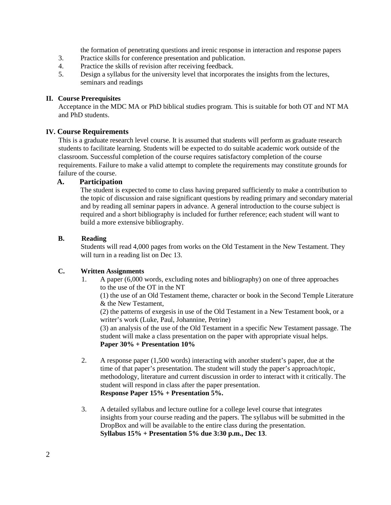the formation of penetrating questions and irenic response in interaction and response papers

- 3. Practice skills for conference presentation and publication.
- 4. Practice the skills of revision after receiving feedback.
- 5. Design a syllabus for the university level that incorporates the insights from the lectures, seminars and readings

## **II. Course Prerequisites**

Acceptance in the MDC MA or PhD biblical studies program. This is suitable for both OT and NT MA and PhD students.

# **IV. Course Requirements**

This is a graduate research level course. It is assumed that students will perform as graduate research students to facilitate learning. Students will be expected to do suitable academic work outside of the classroom. Successful completion of the course requires satisfactory completion of the course requirements. Failure to make a valid attempt to complete the requirements may constitute grounds for failure of the course.

# **A. Participation**

The student is expected to come to class having prepared sufficiently to make a contribution to the topic of discussion and raise significant questions by reading primary and secondary material and by reading all seminar papers in advance. A general introduction to the course subject is required and a short bibliography is included for further reference; each student will want to build a more extensive bibliography.

# **B. Reading**

Students will read 4,000 pages from works on the Old Testament in the New Testament. They will turn in a reading list on Dec 13.

## **C. Written Assignments**

1. A paper (6,000 words, excluding notes and bibliography) on one of three approaches to the use of the OT in the NT

(1) the use of an Old Testament theme, character or book in the Second Temple Literature & the New Testament,

(2) the patterns of exegesis in use of the Old Testament in a New Testament book, or a writer's work (Luke, Paul, Johannine, Petrine)

(3) an analysis of the use of the Old Testament in a specific New Testament passage. The student will make a class presentation on the paper with appropriate visual helps. **Paper 30% + Presentation 10%**

- 2. A response paper (1,500 words) interacting with another student's paper, due at the time of that paper's presentation. The student will study the paper's approach/topic, methodology, literature and current discussion in order to interact with it critically. The student will respond in class after the paper presentation. **Response Paper 15% + Presentation 5%.**
- 3. A detailed syllabus and lecture outline for a college level course that integrates insights from your course reading and the papers. The syllabus will be submitted in the DropBox and will be available to the entire class during the presentation. **Syllabus 15% + Presentation 5% due 3:30 p.m., Dec 13**.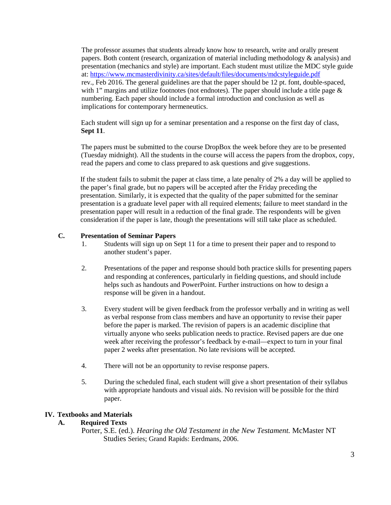The professor assumes that students already know how to research, write and orally present papers. Both content (research, organization of material including methodology & analysis) and presentation (mechanics and style) are important. Each student must utilize the MDC style guide at:<https://www.mcmasterdivinity.ca/sites/default/files/documents/mdcstyleguide.pdf> rev., Feb 2016. The general guidelines are that the paper should be 12 pt. font, double-spaced, with 1" margins and utilize footnotes (not endnotes). The paper should include a title page  $\&$ numbering. Each paper should include a formal introduction and conclusion as well as implications for contemporary hermeneutics.

Each student will sign up for a seminar presentation and a response on the first day of class, **Sept 11**.

The papers must be submitted to the course DropBox the week before they are to be presented (Tuesday midnight). All the students in the course will access the papers from the dropbox, copy, read the papers and come to class prepared to ask questions and give suggestions.

If the student fails to submit the paper at class time, a late penalty of 2% a day will be applied to the paper's final grade, but no papers will be accepted after the Friday preceding the presentation. Similarly, it is expected that the quality of the paper submitted for the seminar presentation is a graduate level paper with all required elements; failure to meet standard in the presentation paper will result in a reduction of the final grade. The respondents will be given consideration if the paper is late, though the presentations will still take place as scheduled.

# **C. Presentation of Seminar Papers**

- 1. Students will sign up on Sept 11 for a time to present their paper and to respond to another student's paper.
- 2. Presentations of the paper and response should both practice skills for presenting papers and responding at conferences, particularly in fielding questions, and should include helps such as handouts and PowerPoint. Further instructions on how to design a response will be given in a handout.
- 3. Every student will be given feedback from the professor verbally and in writing as well as verbal response from class members and have an opportunity to revise their paper before the paper is marked. The revision of papers is an academic discipline that virtually anyone who seeks publication needs to practice. Revised papers are due one week after receiving the professor's feedback by e-mail—expect to turn in your final paper 2 weeks after presentation. No late revisions will be accepted.
- 4. There will not be an opportunity to revise response papers.
- 5. During the scheduled final, each student will give a short presentation of their syllabus with appropriate handouts and visual aids. No revision will be possible for the third paper.

## **IV. Textbooks and Materials**

# **A. Required Texts**

Porter, S.E. (ed.). *Hearing the Old Testament in the New Testament.* McMaster NT Studies Series; Grand Rapids: Eerdmans, 2006.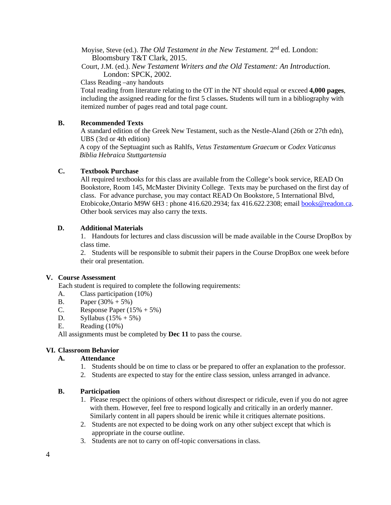Moyise, Steve (ed.). *The Old Testament in the New Testament*. 2<sup>nd</sup> ed. London: Bloomsbury T&T Clark, 2015.

Court, J.M. (ed.). *New Testament Writers and the Old Testament: An Introduction.* London: SPCK, 2002.

Class Reading –any handouts

Total reading from literature relating to the OT in the NT should equal or exceed **4,000 pages**, including the assigned reading for the first 5 classes**.** Students will turn in a bibliography with itemized number of pages read and total page count.

# **B. Recommended Texts**

A standard edition of the Greek New Testament, such as the Nestle-Aland (26th or 27th edn), UBS (3rd or 4th edition)

A copy of the Septuagint such as Rahlfs, *Vetus Testamentum Graecum* or *Codex Vaticanus Biblia Hebraica Stuttgartensia*

## **C. Textbook Purchase**

All required textbooks for this class are available from the College's book service, READ On Bookstore, Room 145, McMaster Divinity College. Texts may be purchased on the first day of class. For advance purchase, you may contact READ On Bookstore, 5 International Blvd, Etobicoke, Ontario M9W 6H3 : phone 416.620.2934; fax 416.622.2308; email **books@readon.ca**. Other book services may also carry the texts.

# **D. Additional Materials**

1. Handouts for lectures and class discussion will be made available in the Course DropBox by class time.

2. Students will be responsible to submit their papers in the Course DropBox one week before their oral presentation.

## **V. Course Assessment**

Each student is required to complete the following requirements:

- A. Class participation (10%)
- B. Paper  $(30\% + 5\%)$
- C. Response Paper  $(15\% + 5\%)$
- D. Syllabus  $(15% + 5%)$
- E. Reading (10%)

All assignments must be completed by **Dec 11** to pass the course.

# **VI. Classroom Behavior**

# **A. Attendance**

- 1. Students should be on time to class or be prepared to offer an explanation to the professor.
- 2. Students are expected to stay for the entire class session, unless arranged in advance.

## **B. Participation**

- 1. Please respect the opinions of others without disrespect or ridicule, even if you do not agree with them. However, feel free to respond logically and critically in an orderly manner. Similarly content in all papers should be irenic while it critiques alternate positions.
- 2. Students are not expected to be doing work on any other subject except that which is appropriate in the course outline.
- 3. Students are not to carry on off-topic conversations in class.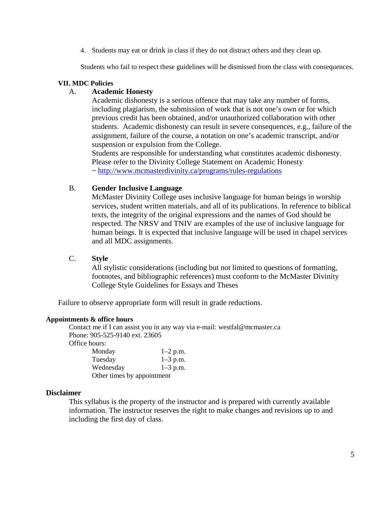4. Students may eat or drink in class if they do not distract others and they clean up.

Students who fail to respect these guidelines will be dismissed from the class with consequences.

# **VII. MDC Policies**

# A. **Academic Honesty**

Academic dishonesty is a serious offence that may take any number of forms, including plagiarism, the submission of work that is not one's own or for which previous credit has been obtained, and/or unauthorized collaboration with other students. Academic dishonesty can result in severe consequences, e.g., failure of the assignment, failure of the course, a notation on one's academic transcript, and/or suspension or expulsion from the College. Students are responsible for understanding what constitutes academic dishonesty.

Please refer to the Divinity College Statement on Academic Honesty ~<http://www.mcmasterdivinity.ca/programs/rules-regulations>

# B. **Gender Inclusive Language**

McMaster Divinity College uses inclusive language for human beings in worship services, student written materials, and all of its publications. In reference to biblical texts, the integrity of the original expressions and the names of God should be respected. The NRSV and TNIV are examples of the use of inclusive language for human beings. It is expected that inclusive language will be used in chapel services and all MDC assignments.

# C. **Style**

All stylistic considerations (including but not limited to questions of formatting, footnotes, and bibliographic references) must conform to the McMaster Divinity College Style Guidelines for Essays and Theses

Failure to observe appropriate form will result in grade reductions.

## **Appointments & office hours**

Contact me if I can assist you in any way via e-mail: westfal@mcmaster.ca Phone: 905-525-9140 ext. 23605 Office hours: Monday  $1-2$  p.m.<br>Tuesday  $1-3$  p.m.  $1-3$  p.m.

| 1 uesday                   | $1 - 3$ p.m. |
|----------------------------|--------------|
| Wednesday                  | $1 - 3$ p.m. |
| Other times by appointment |              |

# **Disclaimer**

This syllabus is the property of the instructor and is prepared with currently available information. The instructor reserves the right to make changes and revisions up to and including the first day of class.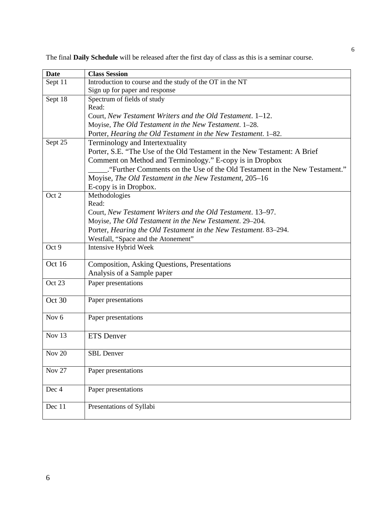The final **Daily Schedule** will be released after the first day of class as this is a seminar course.

| <b>Date</b>      | <b>Class Session</b>                                                     |
|------------------|--------------------------------------------------------------------------|
| Sept 11          | Introduction to course and the study of the OT in the NT                 |
|                  | Sign up for paper and response                                           |
| Sept 18          | Spectrum of fields of study                                              |
|                  | Read:                                                                    |
|                  | Court, New Testament Writers and the Old Testament. 1–12.                |
|                  | Moyise, The Old Testament in the New Testament. 1-28.                    |
|                  | Porter, Hearing the Old Testament in the New Testament. 1-82.            |
| Sept 25          | Terminology and Intertextuality                                          |
|                  | Porter, S.E. "The Use of the Old Testament in the New Testament: A Brief |
|                  | Comment on Method and Terminology." E-copy is in Dropbox                 |
|                  | "Further Comments on the Use of the Old Testament in the New Testament." |
|                  | Moyise, The Old Testament in the New Testament, 205-16                   |
|                  | E-copy is in Dropbox.                                                    |
| Oct 2            | Methodologies                                                            |
|                  | Read:                                                                    |
|                  | Court, New Testament Writers and the Old Testament. 13–97.               |
|                  | Moyise, The Old Testament in the New Testament. 29-204.                  |
|                  | Porter, Hearing the Old Testament in the New Testament. 83-294.          |
|                  | Westfall, "Space and the Atonement"                                      |
| Oct 9            | Intensive Hybrid Week                                                    |
| Oct 16           | <b>Composition, Asking Questions, Presentations</b>                      |
|                  | Analysis of a Sample paper                                               |
| Oct 23           | Paper presentations                                                      |
|                  |                                                                          |
| Oct 30           | Paper presentations                                                      |
|                  |                                                                          |
| Nov <sub>6</sub> | Paper presentations                                                      |
|                  |                                                                          |
| Nov 13           | <b>ETS</b> Denver                                                        |
|                  |                                                                          |
| <b>Nov 20</b>    | <b>SBL</b> Denver                                                        |
| <b>Nov 27</b>    | Paper presentations                                                      |
|                  |                                                                          |
| Dec 4            | Paper presentations                                                      |
|                  |                                                                          |
| Dec 11           | Presentations of Syllabi                                                 |
|                  |                                                                          |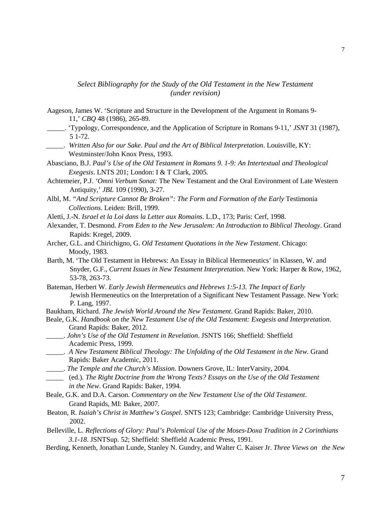*Select Bibliography for the Study of the Old Testament in the New Testament (under revision)*

- Aageson, James W. 'Scripture and Structure in the Development of the Argument in Romans 9- 11,' *CBQ* 48 (1986), 265-89*.*
- \_\_\_\_\_. 'Typology, Correspondence, and the Application of Scripture in Romans 9-11,' *JSNT* 31 (1987), 5 1-72.
- \_\_\_\_\_. *Written Also for our Sake. Paul and the Art of Biblical Interpretation*. Louisville, KY: Westminster/John Knox Press, 1993.
- Abasciano, B.J. *Paul's Use of the Old Testament in Romans 9. 1-9: An Intertextual and Theological Exegesis*. LNTS 201; London: I & T Clark, 2005*.*
- Achtemeier, P.J. *'Omni Verbum Sonat:* The New Testament and the Oral Environment of Late Western Antiquity,' *JBL* 109 (1990), 3-27.
- Albl, M. "And Scripture Cannot Be Broken": The Form and Formation of the Early Testimonia *Collections*. Leiden: Brill, 1999.
- Aletti, J.-N. *Israel et la Loi dans la Letter aux Romains*. L.D., 173; Paris: Cerf, 1998.
- Alexander, T. Desmond. *From Eden to the New Jerusalem: An Introduction to Biblical Theology*. Grand Rapids: Kregel, 2009.
- Archer, G.L. and Chirichigno, G. *Old Testament Quotations in the New Testament*. Chicago: Moody, 1983.
- Barth, M. 'The Old Testament in Hebrews: An Essay in Biblical Hermeneutics' in Klassen, W. and Snyder, G.F., *Current Issues in New Testament Interpretation.* New York: Harper & Row, 1962, 53-78*,* 263-73.
- Bateman, Herbert W. *Early Jewish Hermeneutics and Hebrews 1:5-13. The Impact of Early* Jewish Hermeneutics on the Interpretation of a Significant New Testament Passage. New York: P. Lang, 1997.
- Baukham, Richard. *The Jewish World Around the New Testament*. Grand Rapids: Baker, 2010.
- Beale, G.K. *Handbook on the New Testament Use of the Old Testament: Exegesis and Interpretation*. Grand Rapids: Baker, 2012.
- \_\_\_\_\_. *John's Use of the Old Testament in Revelation*. JSNTS 166; Sheffield: Sheffield Academic Press, 1999.
- \_\_\_\_\_. *A New Testament Biblical Theology: The Unfolding of the Old Testament in the New.* Grand Rapids: Baker Academic, 2011.
- \_\_\_\_\_. *The Temple and the Church's Mission*. Downers Grove, IL: InterVarsity, 2004.
- \_\_\_\_\_ (ed.). *The Right Doctrine from the Wrong Texts? Essays on the Use of the Old Testament in the New*. Grand Rapids: Baker, 1994.
- Beale, G.K. and D.A. Carson. *Commentary on the New Testament Use of the Old Testament*. Grand Rapids, MI: Baker, 2007.
- Beaton, R. *Isaiah's Christ in Matthew's Gospel*. SNTS 123; Cambridge: Cambridge University Press, 2002.
- Belleville, L. *Reflections of Glory: Paul's Polemical Use of the Moses-Doxa Tradition in 2 Corinthians 3.1-18*. JSNTSup. 52; Sheffield: Sheffield Academic Press, 1991.
- Berding, Kenneth, Jonathan Lunde, Stanley N. Gundry, and Walter C. Kaiser Jr. *Three Views on the New*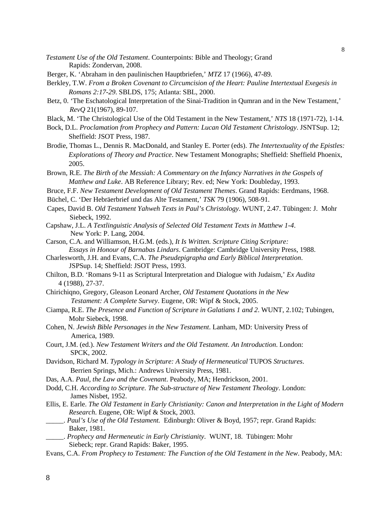*Testament Use of the Old Testament*. Counterpoints: Bible and Theology; Grand Rapids: Zondervan, 2008.

- Berger, K. 'Abraham in den paulinischen Hauptbriefen,' *MTZ* 17 (1966), 47-89.
- Berkley, T.W. *From a Broken Covenant to Circumcision of the Heart: Pauline Intertextual Exegesis in Romans 2:17-29*. SBLDS, 175; Atlanta: SBL, 2000.
- Betz, 0. 'The Eschatological Interpretation of the Sinai-Tradition in Qumran and in the New Testament,' *RevQ* 21(1967), 89-107.
- Black, M. 'The Christological Use of the Old Testament in the New Testament,' *NTS* 18 (1971-72), 1-14.
- Bock, D.L. *Proclamation from Prophecy and Pattern: Lucan Old Testament Christology*. JSNTSup. 12; Sheffield: JSOT Press, 1987.
- Brodie, Thomas L., Dennis R. MacDonald, and Stanley E. Porter (eds). *The Intertextuality of the Epistles: Explorations of Theory and Practice*. New Testament Monographs; Sheffield: Sheffield Phoenix, 2005.
- Brown, R.E. *The Birth of the Messiah: A Commentary on the Infancy Narratives in the Gospels of Matthew and Luke*. AB Reference Library; Rev. ed; New York: Doubleday, 1993.
- Bruce, F.F. *New Testament Development of Old Testament Themes*. Grand Rapids: Eerdmans, 1968.
- Büchel, C. 'Der Hebräerbrief und das Alte Testament,' *TSK* 79 (1906), 508-91.
- Capes, David B. *Old Testament Yahweh Texts in Paul's Christology*. WUNT, 2.47. Tübingen: J. Mohr Siebeck, 1992.
- Capshaw, J.L. *A Textlinguistic Analysis of Selected Old Testament Texts in Matthew 1-4*. New York: P. Lang, 2004.
- Carson, C.A. and Williamson, H.G.M. (eds.), *It Is Written. Scripture Citing Scripture: Essays in Honour of Barnabas Lindars*. Cambridge: Cambridge University Press, 1988.
- Charlesworth, J.H. and Evans, C.A. *The Pseudepigrapha and Early Biblical Interpretation*. JSPSup. 14; Sheffield: JSOT Press, 1993.
- Chilton, B.D. 'Romans 9-11 as Scriptural Interpretation and Dialogue with Judaism,' *Ex Audita*  4 (1988), 27-37.
- Chirichiqno, Gregory, Gleason Leonard Archer, *Old Testament Quotations in the New Testament: A Complete Survey*. Eugene, OR: Wipf & Stock, 2005.
- Ciampa, R.E. *The Presence and Function of Scripture in Galatians 1 and 2*. WUNT, 2.102; Tubingen, Mohr Siebeck, 1998.
- Cohen, N. *Jewish Bible Personages in the New Testament*. Lanham, MD: University Press of America, 1989.
- Court, J.M. (ed.). *New Testament Writers and the Old Testament. An Introduction*. London: SPCK, 2002.
- Davidson, Richard M. *Typology in Scripture: A Study of Hermeneutical* TUPOS *Structures*. Berrien Springs, Mich.: Andrews University Press, 1981.
- Das, A.A. *Paul, the Law and the Covenant*. Peabody, MA; Hendrickson, 2001.
- Dodd, C.H. *According to Scripture. The Sub-structure of New Testament Theology*. London: James Nisbet, 1952.
- Ellis, E. Earle. *The Old Testament in Early Christianity: Canon and Interpretation in the Light of Modern Research*. Eugene, OR: Wipf & Stock, 2003.
- \_\_\_\_\_. *Paul's Use of the Old Testament.* Edinburgh: Oliver & Boyd, 1957; repr. Grand Rapids: Baker, 1981.
- \_\_\_\_\_. *Prophecy and Hermeneutic in Early Christianity*. WUNT, 18. Tübingen: Mohr Siebeck; repr. Grand Rapids: Baker, 1995.
- Evans, C.A. *From Prophecy to Testament: The Function of the Old Testament in the New*. Peabody, MA: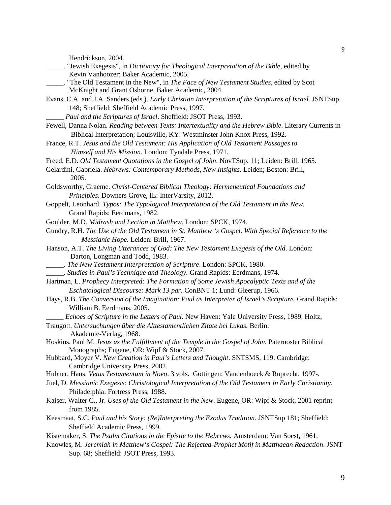Hendrickson, 2004.

- \_\_\_\_\_. "Jewish Exegesis", in *Dictionary for Theological Interpretation of the Bible*, edited by Kevin Vanhoozer; Baker Academic, 2005.
- \_\_\_\_\_. "The Old Testament in the New", in *The Face of New Testament Studies*, edited by Scot McKnight and [Grant Osborne.](http://www.theopedia.com/Grant_Osborne) Baker Academic, 2004.
- Evans, C.A. and J.A. Sanders (eds.). *Early Christian Interpretation of the Scriptures of Israel.* JSNTSup. 148; Sheffield: Sheffield Academic Press, 1997.
	- \_\_\_\_\_ *Paul and the Scriptures of Israel*. Sheffield: JSOT Press, 1993.
- Fewell, Danna Nolan. *Reading between Texts: Intertextuality and the Hebrew Bible*. Literary Currents in Biblical Interpretation; Louisville, KY: Westminster John Knox Press, 1992.
- France, R.T. *Jesus and the Old Testament: His Application of Old Testament Passages to Himself and His Mission.* London: Tyndale Press, 1971.
- Freed, E.D. *Old Testament Quotations in the Gospel of John*. NovTSup. 11; Leiden: Brill, 1965.
- Gelardini, Gabriela. *Hebrews: Contemporary Methods, New Insights*. Leiden; Boston: Brill, 2005.
- Goldsworthy, Graeme. *Christ-Centered Biblical Theology: Hermeneutical Foundations and Principles*. Downers Grove, IL: InterVarsity, 2012.
- Goppelt, Leonhard. *Typos: The Typological Interpretation of the Old Testament in the New*. Grand Rapids: Eerdmans, 1982.
- Goulder, M.D. *Midrash and Lection in Matthew*. London: SPCK, 1974.
- Gundry, R.H. *The Use of the Old Testament in St. Matthew 's Gospel. With Special Reference to the Messianic Hope.* Leiden: Brill, 1967.
- Hanson, A.T. *The Living Utterances of God: The New Testament Exegesis of the Old*. London: Darton, Longman and Todd, 1983.
- \_\_\_\_\_. *The New Testament Interpretation of Scripture*. London: SPCK, 1980.
- \_\_\_\_\_. *Studies in Paul's Technique and Theology.* Grand Rapids: Eerdmans, 1974.
- Hartman, L. *Prophecy Interpreted: The Formation of Some Jewish Apocalyptic Texts and of the Eschatological Discourse: Mark 13 par.* ConBNT 1; Lund: Gleerup, 1966.
- Hays, R.B. *The Conversion of the Imagination: Paul as Interpreter of Israel's Scripture.* Grand Rapids: William B. Eerdmans, 2005.
	- \_\_\_\_\_ *Echoes of Scripture in the Letters of Paul*. New Haven: Yale University Press, 1989. Holtz,
- Traugott. *Untersuchungen über die Alttestamentlichen Zitate bei Lukas.* Berlin: Akademie-Verlag, 1968.
- Hoskins, Paul M. *Jesus as the Fulfillment of the Temple in the Gospel of John*. Paternoster Biblical Monographs; Eugene, OR: Wipf & Stock, 2007.
- Hubbard, Moyer V. *New Creation in Paul's Letters and Thought*. SNTSMS, 119. Cambridge: Cambridge University Press, 2002.
- Hübner, Hans. *Vetus Testamentum in Novo*. 3 vols. Göttingen: Vandenhoeck & Ruprecht, 1997-.
- Juel, D. *Messianic Exegesis: Christological Interpretation of the Old Testament in Early Christianity.* Philadelphia: Fortress Press, 1988.
- Kaiser, Walter C., Jr. *Uses of the Old Testament in the New*. Eugene, OR: Wipf & Stock, 2001 reprint from 1985.
- Keesmaat, S.C. *Paul and his Story: (Re)Interpreting the Exodus Tradition*. JSNTSup 181; Sheffield: Sheffield Academic Press, 1999.
- Kistemaker, S. *The Psalm Citations in the Epistle to the Hebrews.* Amsterdam: Van Soest, 1961.
- Knowles, M. *Jeremiah in Matthew's Gospel: The Rejected-Prophet Motif in Matthaean Redaction*. JSNT Sup. 68; Sheffield: JSOT Press, 1993.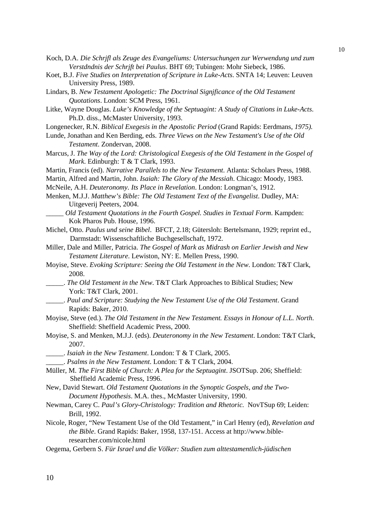- Koch, D.A. *Die Schrjfl als Zeuge des Evangeliums: Untersuchungen zur Werwendung und zum Verstdndnis der Schrjft bei Paulus*. BHT 69; Tubingen: Mohr Siebeck, 1986.
- Koet, B.J. *Five Studies on Interpretation of Scripture in Luke-Acts*. SNTA 14; Leuven: Leuven University Press, 1989.
- Lindars, B. *New Testament Apologetic: The Doctrinal Signjficance of the Old Testament Quotations*. London: SCM Press, 1961.
- Litke, Wayne Douglas. *Luke's Knowledge of the Septuagint: A Study of Citations in Luke-Acts*. Ph.D. diss., McMaster University, 1993.
- Longenecker, R.N. *Biblical Exegesis in the Apostolic Period* (Grand Rapids: Eerdmans, *1975).*
- Lunde, Jonathan and Ken Berding, eds. *Three Views on the New Testament's Use of the Old Testament*. Zondervan, 2008.
- Marcus, J. *The Way of the Lord: Christological Exegesis of the Old Testament in the Gospel of Mark*. Edinburgh: T & T Clark, 1993.
- Martin, Francis (ed). *Narrative Parallels to the New Testament*. Atlanta: Scholars Press, 1988.
- Martin, Alfred and Martin, John. *Isaiah: The Glory of the Messiah*. Chicago: Moody, 1983.
- McNeile, A.H. *Deuteronomy. Its Place in Revelation*. London: Longman's, 1912.
- Menken, M.J.J. *Matthew's Bible: The Old Testament Text of the Evangelist*. Dudley, MA: Uitgeverij Peeters, 2004.
- \_\_\_\_\_ *Old Testament Quotations in the Fourth Gospel. Studies in Textual Form*. Kampden: Kok Pharos Pub. House, 1996.
- Michel, Otto. *Paulus und seine Bibel*. BFCT, 2.18; Gütersloh: Bertelsmann, 1929; reprint ed., Darmstadt: Wissenschaftliche Buchgesellschaft, 1972.
- Miller, Dale and Miller, Patricia. *The Gospel of Mark as Midrash on Earlier Jewish and New Testament Literature*. Lewiston, NY: E. Mellen Press, 1990.
- Moyise, Steve. *Evoking Scripture: Seeing the Old Testament in the New*. London: T&T Clark, 2008.
- \_\_\_\_\_. *The Old Testament in the New*. T&T Clark Approaches to Biblical Studies; New York: T&T Clark, 2001.
- \_\_\_\_\_. *Paul and Scripture: Studying the New Testament Use of the Old Testament*. Grand Rapids: Baker, 2010.
- Moyise, Steve (ed.). *The Old Testament in the New Testament. Essays in Honour of L.L. North*. Sheffield: Sheffield Academic Press, 2000.
- Moyise, S. and Menken, M.J.J. (eds). *Deuteronomy in the New Testament*. London: T&T Clark, 2007.
	- \_\_\_\_\_. *Isaiah in the New Testament*. London: T & T Clark, 2005.
	- \_\_\_\_\_. *Psalms in the New Testament*. London: T & T Clark, 2004.
- Müller, M. *The First Bible of Church: A Plea for the Septuagint*. JSOTSup. 206; Sheffield: Sheffield Academic Press, 1996.
- New, David Stewart. *Old Testament Quotations in the Synoptic Gospels, and the Two-Document Hypothesis*. M.A. thes., McMaster University, 1990.
- Newman, Carey C. *Paul's Glory-Christology: Tradition and Rhetoric.* NovTSup 69; Leiden: Brill, 1992.
- Nicole, Roger, "New Testament Use of the Old Testament," in Carl Henry (ed), *Revelation and the Bible*. Grand Rapids: Baker, 1958, 137-151. Access at http://www.bibleresearcher.com/nicole.html
- Oegema, Gerbern S. *Für Israel und die Völker: Studien zum alttestamentlich-jüdischen*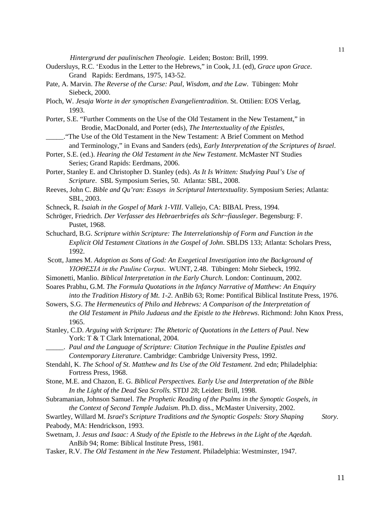*Hintergrund der paulinischen Theologie*. Leiden; Boston: Brill, 1999.

- Oudersluys, R.C. 'Exodus in the Letter to the Hebrews," in Cook, J.I. (ed), *Grace upon Grace*. Grand Rapids: Eerdmans, 1975*,* 143-52.
- Pate, A. Marvin. *The Reverse of the Curse: Paul, Wisdom, and the Law*. Tübingen: Mohr Siebeck, 2000.
- Ploch, W. *Jesaja Worte in der synoptischen Evangelientradition*. St. Ottilien: EOS Verlag, 1993.
- Porter, S.E. "Further Comments on the Use of the Old Testament in the New Testament," in Brodie, MacDonald, and Porter (eds), *The Intertextuality of the Epistles*,
- \_\_\_\_\_."The Use of the Old Testament in the New Testament: A Brief Comment on Method and Terminology," in Evans and Sanders (eds), *Early Interpretation of the Scriptures of Israel*.
- Porter, S.E. (ed.). *Hearing the Old Testament in the New Testament*. McMaster NT Studies Series; Grand Rapids: Eerdmans, 2006.
- Porter, Stanley E. and Christopher D. Stanley (eds). *As It Is Written: Studying Paul's Use of Scripture*. SBL Symposium Series, 50. Atlanta: SBL, 2008.
- Reeves, John C. *Bible and Qu'ran: Essays in Scriptural Intertextuality*. Symposium Series; Atlanta: SBL, 2003.
- Schneck, R. *Isaiah in the Gospel of Mark 1-VIII*. Vallejo, CA: BIBAL Press, 1994.
- Schröger, Friedrich. *Der Verfasser des Hebraerbriefes als Schr~fiausleger*. Begensburg: F. Pustet, 1968.
- Schuchard, B.G. *Scripture within Scripture: The Interrelationship of Form and Function in the Explicit Old Testament Citations in the Gospel of John*. SBLDS 133; Atlanta: Scholars Press, 1992.
- Scott, James M. *Adoption as Sons of God: An Exegetical Investigation into the Background of ΥΙΟΘΕΣΙΑ in the Pauline Corpus*. WUNT, 2.48. Tübingen: Mohr Siebeck, 1992.
- Simonetti, Manlio. *Biblical Interpretation in the Early Church*. London: Continuum, 2002.
- Soares Prabhu, G.M. *The Formula Quotations in the Infancy Narrative of Matthew: An Enquiry into the Tradition History of Mt. 1-2*. AnBib 63; Rome: Pontifical Biblical Institute Press, 1976.
- Sowers, S.G. *The Hermeneutics of Philo and Hebrews: A Comparison of the Interpretation of the Old Testament in Philo Judaeus and the Epistle to the Hebrews*. Richmond: John Knox Press, 1965.
- Stanley, C.D. *Arguing with Scripture: The Rhetoric of Quotations in the Letters of Paul*. New York: T & T Clark International, 2004.
- \_\_\_\_\_. *Paul and the Language of Scripture: Citation Technique in the Pauline Epistles and Contemporary Literature*. Cambridge: Cambridge University Press, 1992.
- Stendahl, K. *The School of St. Matthew and Its Use of the Old Testament.* 2nd edn; Philadelphia: Fortress Press, 1968.
- Stone, M.E. and Chazon, E. G. *Biblical Perspectives. Early Use and Interpretation of the Bible In the Light of the Dead Sea Scrolls.* STDJ 28; Leiden: Brill, 1998.
- Subramanian, Johnson Samuel. *The Prophetic Reading of the Psalms in the Synoptic Gospels, in the Context of Second Temple Judaism*. Ph.D. diss., McMaster University, 2002.
- Swartley, Willard M. *[Israel's Scripture Traditions and the Synoptic Gospels: Story Shaping Story](http://www.amazon.com/Israels-Scripture-Traditions-Synoptic-Gospels/dp/1565630017/ref=sr_1_11?s=books&ie=UTF8&qid=1284298680&sr=1-11).* Peabody, MA: Hendrickson, 1993.
- Swetnam, J. *Jesus and Isaac: A Study of the Epistle to the Hebrews in the Light of the Aqedah*. AnBib 94; Rome: Biblical Institute Press, 1981.
- Tasker, R.V. *The Old Testament in the New Testament*. Philadelphia: Westminster, 1947.